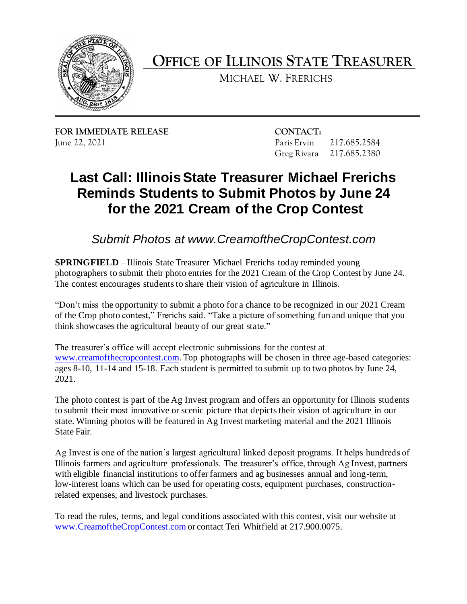

 **OFFICE OF ILLINOIS STATE TREASURER** 

MICHAEL W. FRERICHS

**FOR IMMEDIATE RELEASE CONTACT:** 

 June 22, 2021 Paris Ervin 217.685.2584 Greg Rivara 217.685.2380 Greg Rivara 217,685,2380

## **Last Call: Illinois State Treasurer Michael Frerichs Reminds Students to Submit Photos by June 24 for the 2021 Cream of the Crop Contest**

 *Submit Photos at<www.CreamoftheCropContest.com>*

 **SPRINGFIELD** – Illinois State Treasurer Michael Frerichs today reminded young photographers to submit their photo entries for the 2021 Cream of the Crop Contest by June 24. The contest encourages students to share their vision of agriculture in Illinois.

 "Don't miss the opportunity to submit a photo for a chance to be recognized in our 2021 Cream of the Crop photo contest," Frerichs said. "Take a picture of something fun and unique that you think showcases the agricultural beauty of our great state."

 The treasurer's office will accept electronic submissions for the contest at ages 8-10, 11-14 and 15-18. Each student is permitted to submit up to two photos by June 24, [www.creamofthecropcontest.com.](http://www.creamofthecropcontest.com/) Top photographs will be chosen in three age-based categories: 2021.

 The photo contest is part of the Ag Invest program and offers an opportunity for Illinois students to submit their most innovative or scenic picture that depicts their vision of agriculture in our state. Winning photos will be featured in Ag Invest marketing material and the 2021 Illinois State Fair.

 Ag Invest is one of the nation's largest agricultural linked deposit programs. It helps hundreds of Illinois farmers and agriculture professionals. The treasurer's office, through Ag Invest, partners with eligible financial institutions to offer farmers and ag businesses annual and long-term, low-interest loans which can be used for operating costs, equipment purchases, constructionrelated expenses, and livestock purchases.

 To read the rules, terms, and legal conditions associated with this contest, visit our website at [www.CreamoftheCropContest.com](http://www.creamofthecropcontest.com/) or contact Teri Whitfield at 217.900.0075.